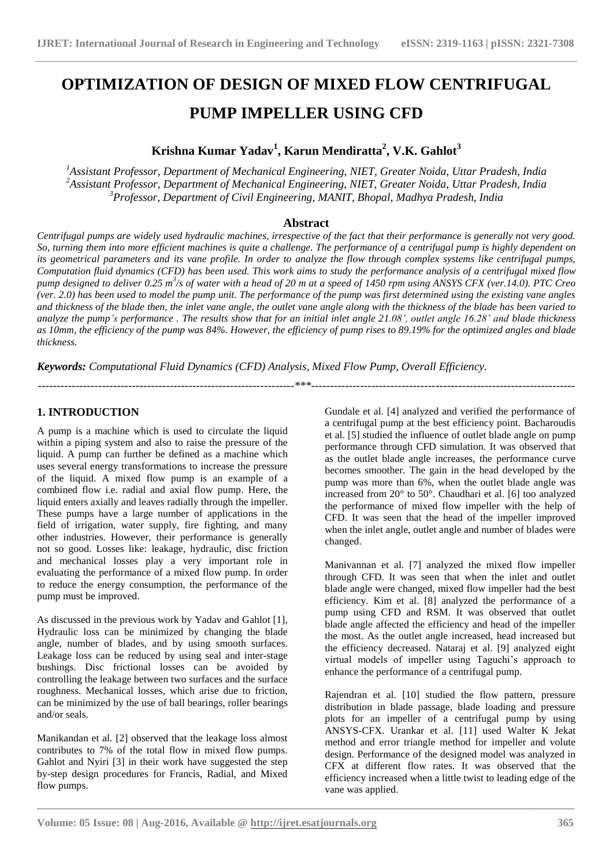# **OPTIMIZATION OF DESIGN OF MIXED FLOW CENTRIFUGAL PUMP IMPELLER USING CFD**

# **Krishna Kumar Yadav<sup>1</sup> , Karun Mendiratta<sup>2</sup> , V.K. Gahlot<sup>3</sup>**

*<sup>1</sup>Assistant Professor, Department of Mechanical Engineering, NIET, Greater Noida, Uttar Pradesh, India <sup>2</sup>Assistant Professor, Department of Mechanical Engineering, NIET, Greater Noida, Uttar Pradesh, India <sup>3</sup>Professor, Department of Civil Engineering, MANIT, Bhopal, Madhya Pradesh, India*

# **Abstract**

*Centrifugal pumps are widely used hydraulic machines, irrespective of the fact that their performance is generally not very good. So, turning them into more efficient machines is quite a challenge. The performance of a centrifugal pump is highly dependent on its geometrical parameters and its vane profile. In order to analyze the flow through complex systems like centrifugal pumps, Computation fluid dynamics (CFD) has been used. This work aims to study the performance analysis of a centrifugal mixed flow pump designed to deliver 0.25 m<sup>3</sup> /s of water with a head of 20 m at a speed of 1450 rpm using ANSYS CFX (ver.14.0). PTC Creo (ver. 2.0) has been used to model the pump unit. The performance of the pump was first determined using the existing vane angles and thickness of the blade then, the inlet vane angle, the outlet vane angle along with the thickness of the blade has been varied to analyze the pump's performance . The results show that for an initial inlet angle 21.08˚, outlet angle 16.28˚ and blade thickness as 10mm, the efficiency of the pump was 84%. However, the efficiency of pump rises to 89.19% for the optimized angles and blade thickness.*

*--------------------------------------------------------------------\*\*\*----------------------------------------------------------------------*

*Keywords: Computational Fluid Dynamics (CFD) Analysis, Mixed Flow Pump, Overall Efficiency.* 

# **1. INTRODUCTION**

A pump is a machine which is used to circulate the liquid within a piping system and also to raise the pressure of the liquid. A pump can further be defined as a machine which uses several energy transformations to increase the pressure of the liquid. A mixed flow pump is an example of a combined flow i.e. radial and axial flow pump. Here, the liquid enters axially and leaves radially through the impeller. These pumps have a large number of applications in the field of irrigation, water supply, fire fighting, and many other industries. However, their performance is generally not so good. Losses like: leakage, hydraulic, disc friction and mechanical losses play a very important role in evaluating the performance of a mixed flow pump. In order to reduce the energy consumption, the performance of the pump must be improved.

As discussed in the previous work by Yadav and Gahlot [1], Hydraulic loss can be minimized by changing the blade angle, number of blades, and by using smooth surfaces. Leakage loss can be reduced by using seal and inter-stage bushings. Disc frictional losses can be avoided by controlling the leakage between two surfaces and the surface roughness. Mechanical losses, which arise due to friction, can be minimized by the use of ball bearings, roller bearings and/or seals.

Manikandan et al. [2] observed that the leakage loss almost contributes to 7% of the total flow in mixed flow pumps. Gahlot and Nyiri [3] in their work have suggested the step by-step design procedures for Francis, Radial, and Mixed flow pumps.

Gundale et al. [4] analyzed and verified the performance of a centrifugal pump at the best efficiency point. Bacharoudis et al. [5] studied the influence of outlet blade angle on pump performance through CFD simulation. It was observed that as the outlet blade angle increases, the performance curve becomes smoother. The gain in the head developed by the pump was more than 6%, when the outlet blade angle was increased from 20° to 50°. Chaudhari et al. [6] too analyzed the performance of mixed flow impeller with the help of CFD. It was seen that the head of the impeller improved when the inlet angle, outlet angle and number of blades were changed.

Manivannan et al. [7] analyzed the mixed flow impeller through CFD. It was seen that when the inlet and outlet blade angle were changed, mixed flow impeller had the best efficiency. Kim et al. [8] analyzed the performance of a pump using CFD and RSM. It was observed that outlet blade angle affected the efficiency and head of the impeller the most. As the outlet angle increased, head increased but the efficiency decreased. Nataraj et al. [9] analyzed eight virtual models of impeller using Taguchi's approach to enhance the performance of a centrifugal pump.

Rajendran et al. [10] studied the flow pattern, pressure distribution in blade passage, blade loading and pressure plots for an impeller of a centrifugal pump by using ANSYS-CFX. Urankar et al. [11] used Walter K Jekat method and error triangle method for impeller and volute design. Performance of the designed model was analyzed in CFX at different flow rates. It was observed that the efficiency increased when a little twist to leading edge of the vane was applied.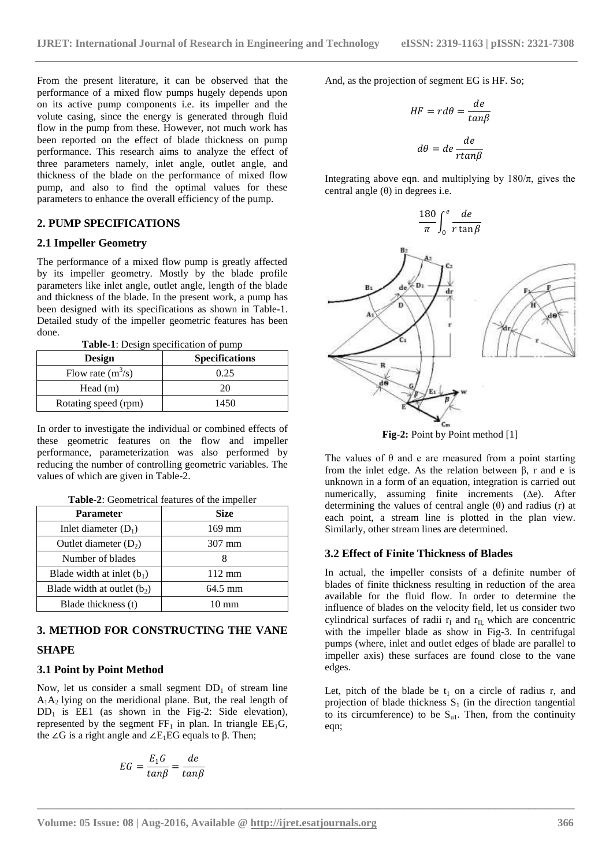From the present literature, it can be observed that the performance of a mixed flow pumps hugely depends upon on its active pump components i.e. its impeller and the volute casing, since the energy is generated through fluid flow in the pump from these. However, not much work has been reported on the effect of blade thickness on pump performance. This research aims to analyze the effect of three parameters namely, inlet angle, outlet angle, and thickness of the blade on the performance of mixed flow pump, and also to find the optimal values for these parameters to enhance the overall efficiency of the pump.

#### **2. PUMP SPECIFICATIONS**

#### **2.1 Impeller Geometry**

The performance of a mixed flow pump is greatly affected by its impeller geometry. Mostly by the blade profile parameters like inlet angle, outlet angle, length of the blade and thickness of the blade. In the present work, a pump has been designed with its specifications as shown in Table-1. Detailed study of the impeller geometric features has been done.

**Table-1**: Design specification of pump

| <b>Design</b>        | <b>Specifications</b> |
|----------------------|-----------------------|
| Flow rate $(m^3/s)$  | 0.25                  |
| Head $(m)$           | 20                    |
| Rotating speed (rpm) | 1450                  |

In order to investigate the individual or combined effects of these geometric features on the flow and impeller performance, parameterization was also performed by reducing the number of controlling geometric variables. The values of which are given in Table-2.

|  | Table-2: Geometrical features of the impeller |  |  |  |
|--|-----------------------------------------------|--|--|--|
|--|-----------------------------------------------|--|--|--|

| Parameter                     | <b>Size</b>      |
|-------------------------------|------------------|
| Inlet diameter $(D_1)$        | $169$ mm         |
| Outlet diameter $(D_2)$       | 307 mm           |
| Number of blades              |                  |
| Blade width at inlet $(b_1)$  | $112 \text{ mm}$ |
| Blade width at outlet $(b_2)$ | 64.5 mm          |
| Blade thickness (t)           | $10 \text{ mm}$  |

# **3. METHOD FOR CONSTRUCTING THE VANE**

# **SHAPE**

# **3.1 Point by Point Method**

Now, let us consider a small segment  $DD_1$  of stream line  $A_1A_2$  lying on the meridional plane. But, the real length of  $DD_1$  is EE1 (as shown in the Fig-2: Side elevation), represented by the segment  $FF_1$  in plan. In triangle  $EE_1G$ , the ∠G is a right angle and  $\angle E_1EG$  equals to β. Then;

$$
EG = \frac{E_1 G}{\tan \beta} = \frac{de}{\tan \beta}
$$

And, as the projection of segment EG is HF. So;

$$
HF = r d\theta = \frac{de}{tan\beta}
$$

$$
d\theta = de \frac{de}{rtan\beta}
$$

Integrating above eqn. and multiplying by  $180/\pi$ , gives the central angle  $(θ)$  in degrees i.e.



Fig-2: Point by Point method [1]

The values of  $\theta$  and e are measured from a point starting from the inlet edge. As the relation between β, r and e is unknown in a form of an equation, integration is carried out numerically, assuming finite increments (∆e). After determining the values of central angle  $(\theta)$  and radius (r) at each point, a stream line is plotted in the plan view. Similarly, other stream lines are determined.

#### **3.2 Effect of Finite Thickness of Blades**

In actual, the impeller consists of a definite number of blades of finite thickness resulting in reduction of the area available for the fluid flow. In order to determine the influence of blades on the velocity field, let us consider two cylindrical surfaces of radii  $r_I$  and  $r_{II}$ , which are concentric with the impeller blade as show in Fig-3. In centrifugal pumps (where, inlet and outlet edges of blade are parallel to impeller axis) these surfaces are found close to the vane edges.

Let, pitch of the blade be  $t_1$  on a circle of radius r, and projection of blade thickness  $S_1$  (in the direction tangential to its circumference) to be  $S_{ul}$ . Then, from the continuity eqn;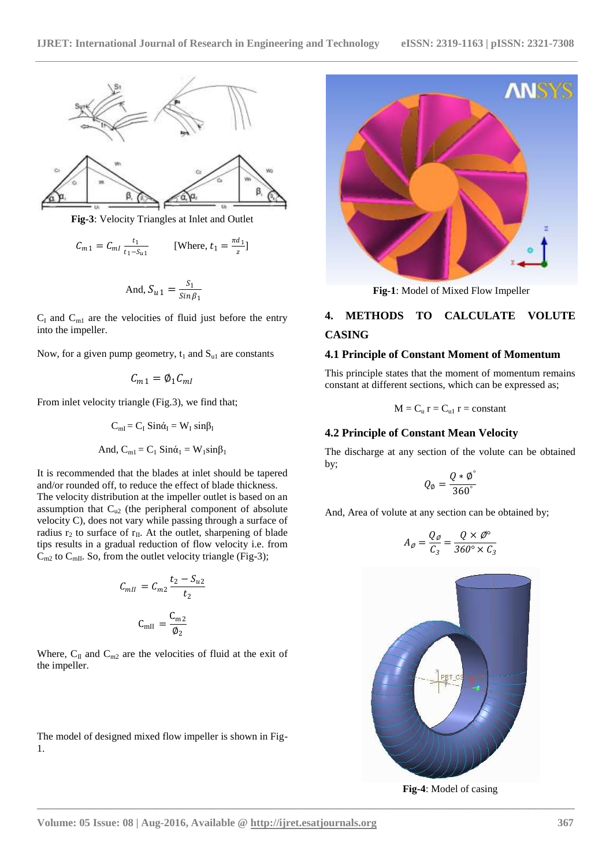



**Fig-3**: Velocity Triangles at Inlet and Outlet

$$
C_{m1} = C_{m1} \frac{t_1}{t_1 - s_{u1}}
$$
 [Where,  $t_1 = \frac{\pi d_1}{z}$ ]

And, 
$$
S_{u1} = \frac{S_1}{\sin \beta_1}
$$

 $C_I$  and  $C_{m1}$  are the velocities of fluid just before the entry into the impeller.

Now, for a given pump geometry,  $t_1$  and  $S_{u1}$  are constants

$$
C_{m1}=\emptyset_1 C_{ml}
$$

From inlet velocity triangle (Fig.3), we find that;

$$
C_{mI} = C_I \, Sin\dot{\alpha}_I = W_I \, sin\beta_I
$$

And, 
$$
C_{m1} = C_1 \operatorname{Sin}\acute{\alpha}_1 = W_1 \sin\beta_1
$$

It is recommended that the blades at inlet should be tapered and/or rounded off, to reduce the effect of blade thickness. The velocity distribution at the impeller outlet is based on an assumption that  $C_{u2}$  (the peripheral component of absolute velocity C), does not vary while passing through a surface of radius  $r_2$  to surface of  $r_{II}$ . At the outlet, sharpening of blade tips results in a gradual reduction of flow velocity i.e. from  $C_{m2}$  to  $C_{mII}$ . So, from the outlet velocity triangle (Fig-3);

$$
C_{mII} = C_{m2} \frac{t_2 - S_{u2}}{t_2}
$$

$$
C_{mII} = \frac{C_{m2}}{\phi_2}
$$

Where,  $C_{\text{II}}$  and  $C_{\text{m2}}$  are the velocities of fluid at the exit of the impeller.

The model of designed mixed flow impeller is shown in Fig-1.



**Fig-1**: Model of Mixed Flow Impeller

# **4. METHODS TO CALCULATE VOLUTE CASING**

#### **4.1 Principle of Constant Moment of Momentum**

This principle states that the moment of momentum remains constant at different sections, which can be expressed as;

$$
M=C_u\ r=C_{u1}\ r=constant
$$

#### **4.2 Principle of Constant Mean Velocity**

The discharge at any section of the volute can be obtained by;

$$
Q_{\emptyset}=\frac{Q*\emptyset^{\circ}}{360^{\circ}}
$$

And, Area of volute at any section can be obtained by;

$$
A_{\emptyset} = \frac{Q_{\emptyset}}{C_3} = \frac{Q \times \emptyset^{\circ}}{360^{\circ} \times C_3}
$$



**Fig-4**: Model of casing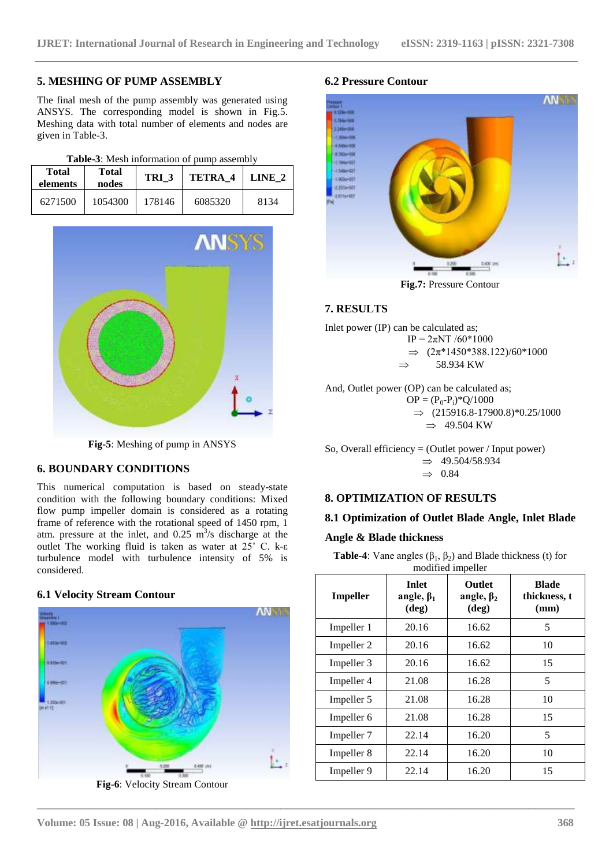## **5. MESHING OF PUMP ASSEMBLY**

The final mesh of the pump assembly was generated using ANSYS. The corresponding model is shown in Fig.5. Meshing data with total number of elements and nodes are given in Table-3.

| Table-3: Mesh information of pump assembly |  |
|--------------------------------------------|--|
|--------------------------------------------|--|

| <b>Total</b><br>elements | <b>Total</b><br>nodes | TRI <sub>3</sub> | TETRA 4 | LINE 2 |
|--------------------------|-----------------------|------------------|---------|--------|
| 6271500                  | 1054300               | 178146           | 6085320 | 8134   |



**Fig-5**: Meshing of pump in ANSYS

#### **6. BOUNDARY CONDITIONS**

This numerical computation is based on steady-state condition with the following boundary conditions: Mixed flow pump impeller domain is considered as a rotating frame of reference with the rotational speed of 1450 rpm, 1 atm. pressure at the inlet, and  $0.25 \text{ m}^3/\text{s}$  discharge at the outlet The working fluid is taken as water at 25˚ C. k-ε turbulence model with turbulence intensity of 5% is considered.

#### **6.1 Velocity Stream Contour**



**Fig-6**: Velocity Stream Contour

# **6.2 Pressure Contour**



**Fig.7:** Pressure Contour

# **7. RESULTS**



 $OP = (P_0 - P_i)^* Q / 1000$  $\Rightarrow$  (215916.8-17900.8)\*0.25/1000  $\Rightarrow$  49.504 KW

So, Overall efficiency = (Outlet power / Input power)  $\Rightarrow$  49.504/58.934  $\Rightarrow$  0.84

#### **8. OPTIMIZATION OF RESULTS**

# **8.1 Optimization of Outlet Blade Angle, Inlet Blade**

#### **Angle & Blade thickness**

**Table-4**: Vane angles  $(\beta_1, \beta_2)$  and Blade thickness (t) for modified impeller

| <b>Impeller</b> | <b>Inlet</b><br>angle, $\beta_1$<br>$(\text{deg})$ | <b>Outlet</b><br>angle, $\beta_2$<br>$(\text{deg})$ | <b>Blade</b><br>thickness, t<br>(mm) |
|-----------------|----------------------------------------------------|-----------------------------------------------------|--------------------------------------|
| Impeller 1      | 20.16                                              | 16.62                                               | 5                                    |
| Impeller 2      | 20.16                                              | 16.62                                               | 10                                   |
| Impeller 3      | 20.16                                              | 16.62                                               | 15                                   |
| Impeller 4      | 21.08                                              | 16.28                                               | 5                                    |
| Impeller 5      | 21.08                                              | 16.28                                               | 10                                   |
| Impeller 6      | 21.08                                              | 16.28                                               | 15                                   |
| Impeller 7      | 22.14                                              | 16.20                                               | 5                                    |
| Impeller 8      | 22.14                                              | 16.20                                               | 10                                   |
| Impeller 9      | 22.14                                              | 16.20                                               | 15                                   |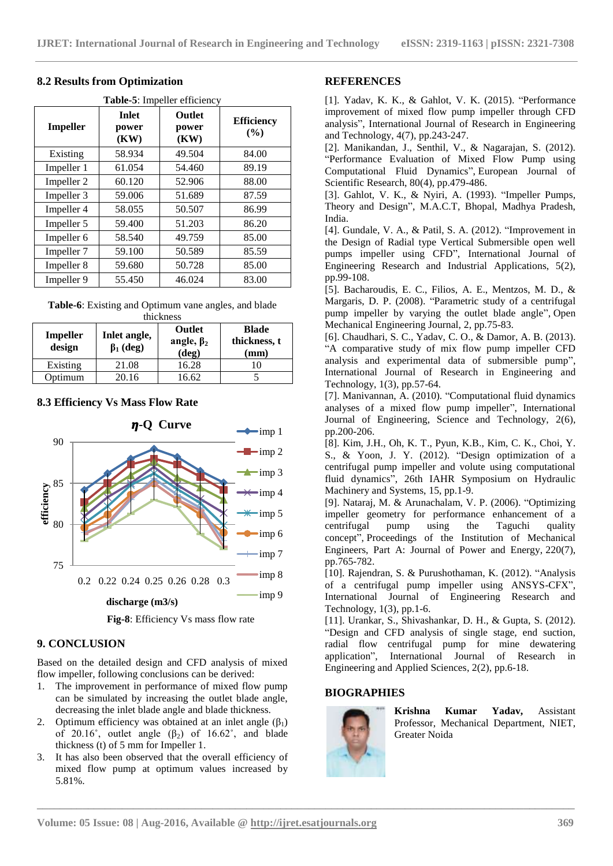| Table-5: Impeller efficiency |                               |                         |                             |
|------------------------------|-------------------------------|-------------------------|-----------------------------|
| <b>Impeller</b>              | <b>Inlet</b><br>power<br>(KW) | Outlet<br>power<br>(KW) | <b>Efficiency</b><br>$($ %) |
| Existing                     | 58.934                        | 49.504                  | 84.00                       |
| Impeller 1                   | 61.054                        | 54.460                  | 89.19                       |
| Impeller 2                   | 60.120                        | 52.906                  | 88.00                       |
| Impeller 3                   | 59.006                        | 51.689                  | 87.59                       |
| Impeller 4                   | 58.055                        | 50.507                  | 86.99                       |
| Impeller 5                   | 59.400                        | 51.203                  | 86.20                       |
| Impeller 6                   | 58.540                        | 49.759                  | 85.00                       |
| Impeller 7                   | 59.100                        | 50.589                  | 85.59                       |
| Impeller 8                   | 59.680                        | 50.728                  | 85.00                       |
| Impeller 9                   | 55.450                        | 46.024                  | 83.00                       |

# **8.2 Results from Optimization**

**Table-6**: Existing and Optimum vane angles, and blade

| thickness                 |                                 |                                              |                                      |
|---------------------------|---------------------------------|----------------------------------------------|--------------------------------------|
| <b>Impeller</b><br>design | Inlet angle,<br>$\beta_1$ (deg) | Outlet<br>angle, $\beta_2$<br>$(\text{deg})$ | <b>Blade</b><br>thickness, t<br>(mm) |
| Existing                  | 21.08                           | 16.28                                        |                                      |
| Optimum                   | 20.16                           | 16.62                                        |                                      |

# **8.3 Efficiency Vs Mass Flow Rate**



**Fig-8**: Efficiency Vs mass flow rate

# **9. CONCLUSION**

Based on the detailed design and CFD analysis of mixed flow impeller, following conclusions can be derived:

- 1. The improvement in performance of mixed flow pump can be simulated by increasing the outlet blade angle, decreasing the inlet blade angle and blade thickness.
- 2. Optimum efficiency was obtained at an inlet angle  $(\beta_1)$ of 20.16°, outlet angle  $(\beta_2)$  of 16.62°, and blade thickness (t) of 5 mm for Impeller 1.
- 3. It has also been observed that the overall efficiency of mixed flow pump at optimum values increased by 5.81%.

#### **REFERENCES**

[1]. Yadav, K. K., & Gahlot, V. K. (2015). "Performance improvement of mixed flow pump impeller through CFD analysis", International Journal of Research in Engineering and Technology, 4(7), pp.243-247.

[2]. Manikandan, J., Senthil, V., & Nagarajan, S. (2012). "Performance Evaluation of Mixed Flow Pump using Computational Fluid Dynamics", European Journal of Scientific Research, 80(4), pp.479-486.

[3]. Gahlot, V. K., & Nyiri, A. (1993). "Impeller Pumps, Theory and Design", M.A.C.T, Bhopal, Madhya Pradesh, India.

[4]. Gundale, V. A., & Patil, S. A. (2012). "Improvement in the Design of Radial type Vertical Submersible open well pumps impeller using CFD", International Journal of Engineering Research and Industrial Applications, 5(2), pp.99-108.

[5]. Bacharoudis, E. C., Filios, A. E., Mentzos, M. D., & Margaris, D. P. (2008). "Parametric study of a centrifugal pump impeller by varying the outlet blade angle", Open Mechanical Engineering Journal, 2, pp.75-83.

[6]. Chaudhari, S. C., Yadav, C. O., & Damor, A. B. (2013). "A comparative study of mix flow pump impeller CFD analysis and experimental data of submersible pump", International Journal of Research in Engineering and Technology, 1(3), pp.57-64.

[7]. Manivannan, A. (2010). "Computational fluid dynamics analyses of a mixed flow pump impeller", International Journal of Engineering, Science and Technology, 2(6), pp.200-206.

[8]. Kim, J.H., Oh, K. T., Pyun, K.B., Kim, C. K., Choi, Y. S., & Yoon, J. Y. (2012). "Design optimization of a centrifugal pump impeller and volute using computational fluid dynamics", 26th IAHR Symposium on Hydraulic Machinery and Systems, 15, pp.1-9.

[9]. Nataraj, M. & Arunachalam, V. P. (2006). "Optimizing impeller geometry for performance enhancement of a centrifugal pump using the Taguchi quality concept", Proceedings of the Institution of Mechanical Engineers, Part A: Journal of Power and Energy, 220(7), pp.765-782.

[10]. Rajendran, S. & Purushothaman, K. (2012). "Analysis of a centrifugal pump impeller using ANSYS-CFX", International Journal of Engineering Research and Technology,  $1(3)$ , pp. 1-6.

[11]. Urankar, S., Shivashankar, D. H., & Gupta, S. (2012). "Design and CFD analysis of single stage, end suction, radial flow centrifugal pump for mine dewatering application", International Journal of Research in Engineering and Applied Sciences, 2(2), pp.6-18.

# **BIOGRAPHIES**



**\_\_\_\_\_\_\_\_\_\_\_\_\_\_\_\_\_\_\_\_\_\_\_\_\_\_\_\_\_\_\_\_\_\_\_\_\_\_\_\_\_\_\_\_\_\_\_\_\_\_\_\_\_\_\_\_\_\_\_\_\_\_\_\_\_\_\_\_\_\_\_\_\_\_\_\_\_\_\_\_\_\_\_\_\_\_\_\_\_\_\_\_\_\_\_**

**Krishna Kumar Yadav,** Assistant Professor, Mechanical Department, NIET, Greater Noida